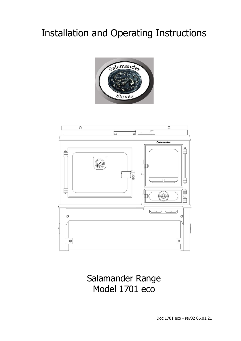# Installation and Operating Instructions





Salamander Range Model 1701 eco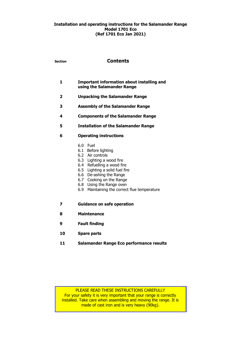### **Installation and operating instructions for the Salamander Range Model 1701 Eco (Ref 1701 Eco Jan 2021)**

| <b>Section</b> | <b>Contents</b>                                                                                                                                                                                                                                                                          |  |  |
|----------------|------------------------------------------------------------------------------------------------------------------------------------------------------------------------------------------------------------------------------------------------------------------------------------------|--|--|
| 1              | Important information about installing and<br>using the Salamander Range                                                                                                                                                                                                                 |  |  |
| 2              | <b>Unpacking the Salamander Range</b>                                                                                                                                                                                                                                                    |  |  |
| 3              | <b>Assembly of the Salamander Range</b>                                                                                                                                                                                                                                                  |  |  |
| 4              | <b>Components of the Salamander Range</b>                                                                                                                                                                                                                                                |  |  |
| 5              | <b>Installation of the Salamander Range</b>                                                                                                                                                                                                                                              |  |  |
| 6              | <b>Operating instructions</b>                                                                                                                                                                                                                                                            |  |  |
|                | 6.0 Fuel<br>6.1 Before lighting<br>6.2 Air controls<br>6.3 Lighting a wood fire<br>6.4 Refuelling a wood fire<br>6.5 Lighting a solid fuel fire<br>6.6 De-ashing the Range<br>6.7 Cooking on the Range<br>6.8<br>Using the Range oven<br>6.9<br>Maintaining the correct flue temperature |  |  |
| 7              | <b>Guidance on safe operation</b>                                                                                                                                                                                                                                                        |  |  |
| 8              | <b>Maintenance</b>                                                                                                                                                                                                                                                                       |  |  |
| 9              | <b>Fault finding</b>                                                                                                                                                                                                                                                                     |  |  |
| 10             | <b>Spare parts</b>                                                                                                                                                                                                                                                                       |  |  |
| 11             | Salamander Range Eco performance results                                                                                                                                                                                                                                                 |  |  |

PLEASE READ THESE INSTRUCTIONS CAREFULLY For your safety it is very important that your range is correctly installed. Take care when assembling and moving the range. It is made of cast iron and is very heavy  $(90kg)$ .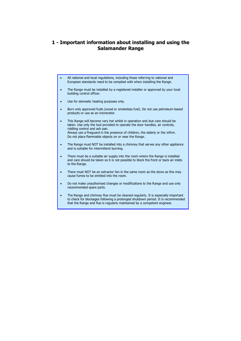# **1 - Important information about installing and using the Salamander Range**

- All national and local regulations, including those referring to national and European standards need to be complied with when installing the Range.
- The Range must be installed by a registered installer or approved by your local building control officer.
- Use for domestic heating purposes only.
- Burn only approved fuels (wood or smokeless fuel). Do not use petroleum-based products or use as an incinerator.
- This Range will become very hot whilst in operation and due care should be taken. Use only the tool provided to operate the door handles, air controls, riddling control and ash pan. Always use a fireguard in the presence of children, the elderly or the infirm. Do not place flammable objects on or near the Range.
- The Range must NOT be installed into a chimney that serves any other appliance and is suitable for intermittent burning.
- There must be a suitable air supply into the room where the Range is installed and care should be taken so it is not possible to block the front or back air inlets to the Range.
- There must NOT be an extractor fan in the same room as the stove as this may cause fumes to be emitted into the room.
- Do not make unauthorised changes or modifications to the Range and use only recommended spare parts.
- The Range and chimney flue must be cleaned regularly. It is especially important to check for blockages following a prolonged shutdown period. It is recommended that the Range and flue is regularly maintained by a competent engineer.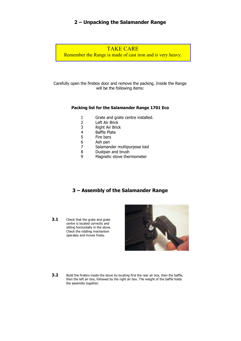# **2 – Unpacking the Salamander Range**

# TAKE CARE

Remember the Range is made of cast iron and is very heavy.

Carefully open the firebox door and remove the packing. Inside the Range will be the following items:

### **Packing list for the Salamander Range 1701 Eco**

- 1 Grate and grate centre installed.<br>2 Left Air Brick
- 2 Left Air Brick<br>3 Right Air Brick
- 3 Right Air Brick<br>4 Baffle Plate
- 4 Baffle Plate<br>5 Fire bars
- Fire bars
- 6 Ash pan
- 7 Salamander multipurpose tool
- 8 Dustpan and brush
- 9 Magnetic stove thermometer

# **3 – Assembly of the Salamander Range**

**3.1** Check that the grate and grate centre is located correctly and sitting horizontally in the stove. Check the riddling mechanism operates and moves freely.



**3.2** Build the firebox inside the stove by locating first the rear air box, then the baffle, then the left air box, followed by the right air box. The weight of the baffle holds the assembly together.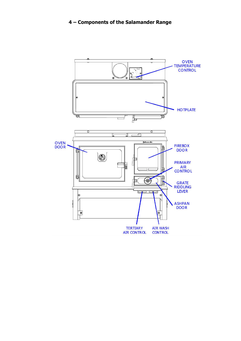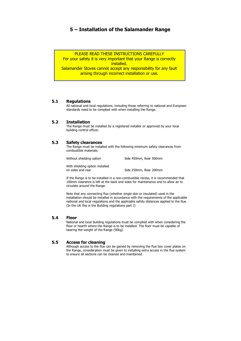# **5 – Installation of the Salamander Range**

PLEASE READ THESE INSTRUCTIONS CAREFULLY

For your safety it is very important that your Range is correctly installed.

Salamander Stoves cannot accept any responsibility for any fault arising through incorrect installation or use.

### **5.1 Regulations**

All national and local regulations, including those referring to national and European standards need to be complied with when installing the Range.

### **5.2 Installation**

The Range must be installed by a registered installer or approved by your local building control officer.

### **5.3 Safety clearances**

The Range must be installed with the following minimum safety clearances from combustible materials:

Without shielding option Side 450mm, Rear 500mm

With shielding option installed on sides and rear Side 250mm, Rear 200mm

If the Range is to be installed in a non-combustible recess, it is recommended that 100mm clearance is left at the back and sides for maintenance and to allow air to circulate around the Range.

Note that any connecting flue (whether single skin or insulated) used in the installation should be installed in accordance with the requirements of the applicable national and local regulations and the applicable safety distances applied to the flue. (In the UK this is the Building regulations part J)

### **5.4 Floor**

National and local building regulations must be complied with when considering the floor or hearth where the Range is to be installed. The floor must be capable of bearing the weight of the Range (90kg).

### **5.5 Access for cleaning**

Although access to the flue can be gained by removing the flue box cover plates on the Range, consideration must be given to installing extra access in the flue system to ensure all sections can be cleaned and maintained.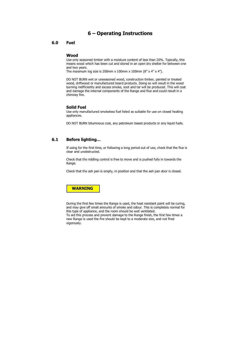# **6 – Operating Instructions**

### **6.0 Fuel**

#### **Wood**

Use only seasoned timber with a moisture content of less than 20%. Typically, this means wood which has been cut and stored in an open dry shelter for between one and two years.

The maximum log size is 200mm x 100mm x 100mm (8" x 4" x 4").

DO NOT BURN wet or unseasoned wood, construction timber, painted or treated wood, driftwood or manufactured board products. Doing so will result in the wood burning inefficiently and excess smoke, soot and tar will be produced. This will coat and damage the internal components of the Range and flue and could result in a chimney fire.

#### **Solid Fuel**

Use only manufactured smokeless fuel listed as suitable for use on closed heating appliances.

DO NOT BURN bituminous coal, any petroleum based products or any liquid fuels.

### **6.1 Before lighting…**

 If using for the first time, or following a long period out of use, check that the flue is clear and unobstructed.

Check that the riddling control is free to move and is pushed fully in towards the Range.

Check that the ash pan is empty, in position and that the ash pan door is closed.



 During the first few times the Range is used, the heat resistant paint will be curing, and may give off small amounts of smoke and odour. This is completely normal for this type of appliance, and the room should be well ventilated. To aid this process and prevent damage to the Range finish, the first few times a new Range is used the fire should be kept to a moderate size, and not fired vigorously.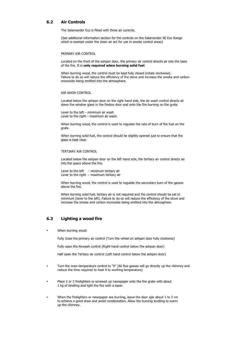### **6.2 Air Controls**

The Salamander Eco is fitted with three air controls.

(See additional information section for the controls on the Salamander SE Eco Range which is exempt under the clean air act for use in smoke control areas)

PRIMARY AIR CONTROL

Located on the front of the ashpan door, the primary air control directs air into the base of the fire. It is **only required when burning solid fuel**.

When burning wood, the control must be kept fully closed (rotate clockwise). Failure to do so will reduce the efficiency of the stove and increase the smoke and carbon monoxide being emitted into the atmosphere.

#### AIR WASH CONTROL

Located below the ashpan door on the right hand side, the air wash control directs air down the window glass in the firebox door and onto the fire burning on the grate.

Lever to the left – minimum air wash Lever to the right – maximum air wash.

When burning wood, the control is used to regulate the rate of burn of the fuel on the grate.

When burning solid fuel, the control should be slightly opened just to ensure that the glass is kept clear.

#### TERTIARY AIR CONTROL

Located below the ashpan door on the left hand side, the tertiary air control directs air into the space above the fire.

Lever to the left  $-$  minimum tertiary air Lever to the right  $-$  maximum tertiary air

When burning wood, the control is used to regulate the secondary burn of the gasses above the fire.

When burning solid fuel, tertiary air is not required and the control should be set to minimum (lever to the left). Failure to do so will reduce the efficiency of the stove and increase the smoke and carbon monoxide being emitted into the atmosphere.

### **6.3 Lighting a wood fire**

When burning wood:

Fully close the primary air control (Turn the wheel on ashpan door fully clockwise)

Fully open the Airwash control (Right hand control below the ashpan door)

Half open the Tertiary air control (Left hand control below the ashpan door)

- Turn the oven temperature control to "0" (All flue gasses will go directly up the chimney and reduce the time required to heat it to working temperature)
- Place 2 or 3 firelighters or screwed up newspaper onto the fire grate with about 1 kg of kindling and light the fire with a taper.
- When the firelighters or newspaper are burning, leave the door ajar about 1 to 2 cm to achieve a good draw and avoid condensation. Allow the burning kindling to warm up the chimney.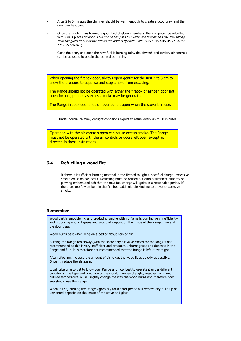- After 2 to 5 minutes the chimney should be warm enough to create a good draw and the door can be closed.
- Once the kindling has formed a good bed of glowing embers, the Range can be refuelled with 2 or 3 pieces of wood. (Do not be tempted to overfill the firebox and risk fuel falling onto the glass or out of the fire as the door is opened. OVERFUELLING CAN ALSO CAUSE EXCESS SMOKE.)

Close the door, and once the new fuel is burning fully, the airwash and tertiary air controls can be adjusted to obtain the desired burn rate.

When opening the firebox door, always open gently for the first 2 to 3 cm to allow the pressure to equalise and stop smoke from escaping.

The Range should not be operated with either the firebox or ashpan door left open for long periods as excess smoke may be generated.

The Range firebox door should never be left open when the stove is in use.

Under normal chimney draught conditions expect to refuel every 45 to 60 minutes.

Operation with the air controls open can cause excess smoke. The Range must not be operated with the air controls or doors left open except as directed in these instructions.

### **6.4 Refuelling a wood fire**

If there is insufficient burning material in the firebed to light a new fuel charge, excessive smoke emission can occur. Refuelling must be carried out onto a sufficient quantity of glowing embers and ash that the new fuel charge will ignite in a reasonable period. If there are too few embers in the fire bed, add suitable kindling to prevent excessive smoke.

### **Remember**

Wood that is smouldering and producing smoke with no flame is burning very inefficiently and producing unburnt gases and soot that deposit on the inside of the Range, flue and the door glass.

Wood burns best when lying on a bed of about 1cm of ash.

Burning the Range too slowly (with the secondary air valve closed for too long) is not recommended as this is very inefficient and produces unburnt gases and deposits in the Range and flue. It is therefore not recommended that the Range is left lit overnight.

After refuelling, increase the amount of air to get the wood lit as quickly as possible. Once lit, reduce the air again.

It will take time to get to know your Range and how best to operate it under different conditions. The type and condition of the wood, chimney draught, weather, wind and outside temperature will all slightly change the way the wood burns and therefore how you should use the Range.

When in use, burning the Range vigorously for a short period will remove any build up of unwanted deposits on the inside of the stove and glass.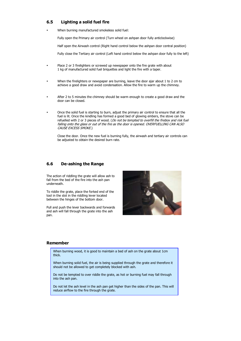### **6.5 Lighting a solid fuel fire**

When burning manufactured smokeless solid fuel:

Fully open the Primary air control (Turn wheel on ashpan door fully anticlockwise)

Half open the Airwash control (Right hand control below the ashpan door central position)

Fully close the Tertiary air control (Left hand control below the ashpan door fully to the left)

- Place 2 or 3 firelighters or screwed up newspaper onto the fire grate with about 1 kg of manufactured solid fuel briquettes and light the fire with a taper.
- When the firelighters or newspaper are burning, leave the door ajar about 1 to 2 cm to achieve a good draw and avoid condensation. Allow the fire to warm up the chimney.
- After 2 to 5 minutes the chimney should be warm enough to create a good draw and the door can be closed.
- Once the solid fuel is starting to burn, adjust the primary air control to ensure that all the fuel is lit. Once the kindling has formed a good bed of glowing embers, the stove can be refuelled with 2 or 3 pieces of wood. (Do not be tempted to overfill the firebox and risk fuel falling onto the glass or out of the fire as the door is opened. OVERFUELLING CAN ALSO CAUSE EXCESS SMOKE.)

Close the door. Once the new fuel is burning fully, the airwash and tertiary air controls can be adjusted to obtain the desired burn rate.

### **6.6 De-ashing the Range**

The action of riddling the grate will allow ash to fall from the bed of the fire into the ash pan underneath.

To riddle the grate, place the forked end of the tool in the slot in the riddling lever located between the hinges of the bottom door.

Pull and push the lever backwards and forwards and ash will fall through the grate into the ash pan.



#### **Remember**

When burning wood, it is good to maintain a bed of ash on the grate about 1cm thick.

When burning solid fuel, the air is being supplied through the grate and therefore it should not be allowed to get completely blocked with ash.

Do not be tempted to over riddle the grate, as hot or burning fuel may fall through into the ash pan.

Do not let the ash level in the ash pan get higher than the sides of the pan. This will reduce airflow to the fire through the grate.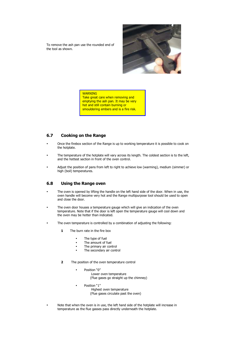To remove the ash pan use the rounded end of the tool as shown.



#### **WARNING**

Take great care when removing and emptying the ash pan. It may be very hot and still contain burning or smouldering embers and is a fire risk.

### **6.7 Cooking on the Range**

- Once the firebox section of the Range is up to working temperature it is possible to cook on the hotplate.
- The temperature of the hotplate will vary across its length. The coldest section is to the left, and the hottest section in front of the oven control.
- Adjust the position of pans from left to right to achieve low (warming), medium (simmer) or high (boil) temperatures.

### **6.8 Using the Range oven**

- The oven is opened by lifting the handle on the left hand side of the door. When in use, the oven handle will become very hot and the Range multipurpose tool should be used to open and close the door.
- The oven door houses a temperature gauge which will give an indication of the oven temperature. Note that if the door is left open the temperature gauge will cool down and the oven may be hotter than indicated.
- The oven temperature is controlled by a combination of adjusting the following:
	- **1** The burn rate in the fire box
		- The type of fuel
		- The amount of fuel
		- The primary air control
		- The secondary air control
	- **2** The position of the oven temperature control
		- Position "0" Lower oven temperature (Flue gases go straight up the chimney)
		- Position "1" Highest oven temperature
			- (Flue gases circulate past the oven)
- Note that when the oven is in use, the left hand side of the hotplate will increase in temperature as the flue gasses pass directly underneath the hotplate.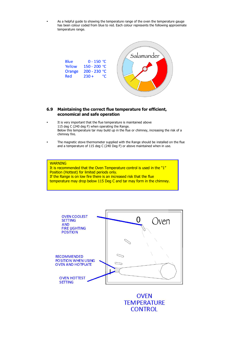As a helpful guide to showing the temperature range of the oven the temperature gauge has been colour coded from blue to red. Each colour represents the following approximate temperature range.



### **6.9 Maintaining the correct flue temperature for efficient, economical and safe operation**

- It is very important that the flue temperature is maintained above 115 deg C (240 deg F) when operating the Range. Below this temperature tar may build up in the flue or chimney, increasing the risk of a chimney fire.
- The magnetic stove thermometer supplied with the Range should be installed on the flue and a temperature of 115 deg C (240 Deg F) or above maintained when in use.

### **WARNING**

It is recommended that the Oven Temperature control is used in the "1" Position (Hottest) for limited periods only. If the Range is on low fire there is an increased risk that the flue temperature may drop below 115 Deg C and tar may form in the chimney.



**OVEN TEMPERATURE CONTROL**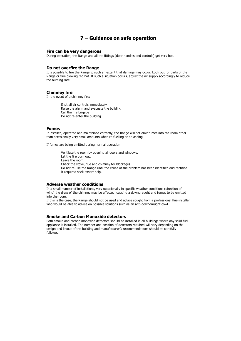### **7 – Guidance on safe operation**

#### **Fire can be very dangerous**

During operation, the Range and all the fittings (door handles and controls) get very hot.

#### **Do not overfire the Range**

It is possible to fire the Range to such an extent that damage may occur. Look out for parts of the Range or flue glowing red hot. If such a situation occurs, adjust the air supply accordingly to reduce the burning rate.

#### **Chimney fire**

In the event of a chimney fire:

Shut all air controls immediately Raise the alarm and evacuate the building Call the fire brigade Do not re-enter the building

#### **Fumes**

If installed, operated and maintained correctly, the Range will not emit fumes into the room other than occasionally very small amounts when re-fuelling or de-ashing.

If fumes are being emitted during normal operation

Ventilate the room by opening all doors and windows. Let the fire burn out. Leave the room. Check the stove, flue and chimney for blockages. Do not re-use the Range until the cause of the problem has been identified and rectified. If required seek expert help.

### **Adverse weather conditions**

In a small number of installations, very occasionally in specific weather conditions (direction of wind) the draw of the chimney may be affected, causing a downdraught and fumes to be emitted into the room.

If this is the case, the Range should not be used and advice sought from a professional flue installer who would be able to advise on possible solutions such as an anti-downdraught cowl.

#### **Smoke and Carbon Monoxide detectors**

Both smoke and carbon monoxide detectors should be installed in all buildings where any solid fuel appliance is installed. The number and position of detectors required will vary depending on the design and layout of the building and manufacturer's recommendations should be carefully followed.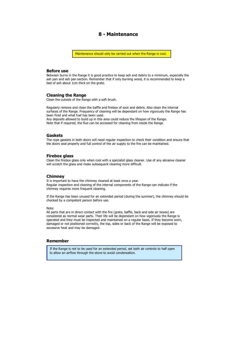# **8 - Maintenance**

Maintenance should only be carried out when the Range is cool.

#### **Before use**

Between burns in the Range it is good practice to keep ash and debris to a minimum, especially the ash pan and ash pan section. Remember that if only burning wood, it is recommended to keep a bed of ash about 1cm thick on the grate.

### **Cleaning the Range**

Clean the outside of the Range with a soft brush.

Regularly remove and clean the baffle and firebox of soot and debris. Also clean the internal surfaces of the Range. Frequency of cleaning will be dependant on how vigorously the Range has been fired and what fuel has been used. Any deposits allowed to build up in this area could reduce the lifespan of the Range.

Note that if required, the flue can be accessed for cleaning from inside the Range.

#### **Gaskets**

The rope gaskets in both doors will need regular inspection to check their condition and ensure that the doors seal properly and full control of the air supply to the fire can be maintained.

#### **Firebox glass**

Clean the firebox glass only when cool with a specialist glass cleaner. Use of any abrasive cleaner will scratch the glass and make subsequent cleaning more difficult.

#### **Chimney**

It is important to have the chimney cleaned at least once a year. Regular inspection and cleaning of the internal components of the Range can indicate if the chimney requires more frequent cleaning.

If the Range has been unused for an extended period (during the summer), the chimney should be checked by a competent person before use.

Note:

All parts that are in direct contact with the fire (grate, baffle, back and side air boxes) are considered as normal wear parts. Their life will be dependant on how vigorously the Range is operated and they must be inspected and maintained on a regular basis. If they become worn, damaged or not positioned correctly, the top, sides or back of the Range will be exposed to excessive heat and may be damaged.

### **Remember**

If the Range is not to be used for an extended period, set both air controls to half open to allow an airflow through the stove to avoid condensation.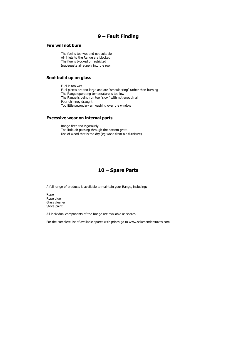# **9 – Fault Finding**

### **Fire will not burn**

The fuel is too wet and not suitable Air inlets to the Range are blocked The flue is blocked or restricted Inadequate air supply into the room

### **Soot build up on glass**

Fuel is too wet Fuel pieces are too large and are "smouldering" rather than burning The Range operating temperature is too low The Range is being run too "slow" with not enough air Poor chimney draught Too little secondary air washing over the window

### **Excessive wear on internal parts**

Range fired too vigorously Too little air passing through the bottom grate Use of wood that is too dry (eg wood from old furniture)

### **10 – Spare Parts**

A full range of products is available to maintain your Range, including;

Rope Rope glue Glass cleaner Stove paint

All individual components of the Range are available as spares.

For the complete list of available spares with prices go to www.salamanderstoves.com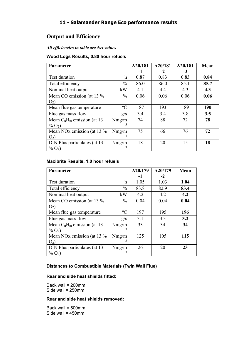# **11 - Salamander Range Eco performance results**

# **Output and Efficiency**

# *All efficiencies in table are Net values*

# **Wood Logs Results, 0.80 hour refuels**

| Parameter                                 |               | A20/181 | A20/181 | A20/181 | <b>Mean</b> |
|-------------------------------------------|---------------|---------|---------|---------|-------------|
|                                           |               | -1      | $-2$    | $-3$    |             |
| Test duration                             | h             | 0.87    | 0.83    | 0.83    | 0.84        |
| Total efficiency                          | $\frac{0}{0}$ | 86.0    | 86.0    | 85.1    | 85.7        |
| Nominal heat output                       | kW            | 4.1     | 4.4     | 4.3     | 4.3         |
| Mean CO emission (at 13 %                 | $\frac{0}{0}$ | 0.06    | 0.06    | 0.06    | 0.06        |
| $O2$ )                                    |               |         |         |         |             |
| Mean flue gas temperature                 | $\rm ^{o}C$   | 187     | 193     | 189     | <b>190</b>  |
| Flue gas mass flow                        | g/s           | 3.4     | 3.4     | 3.8     | 3.5         |
| Mean $C_nH_m$ emission (at 13             | Nmg/m         | 74      | 88      | 72      | 78          |
| $\%$ O <sub>2</sub> )                     | 3             |         |         |         |             |
| Mean NO <sub>x</sub> emission (at 13 $\%$ | Nmg/m         | 75      | 66      | 76      | 72          |
| O <sub>2</sub>                            | 3             |         |         |         |             |
| DIN Plus particulates (at 13              | Nmg/m         | 18      | 20      | 15      | 18          |
| $\%$ O <sub>2</sub> )                     |               |         |         |         |             |

# **Maxibrite Results, 1.0 hour refuels**

| Parameter                              |               | A20/179 | A20/179 | Mean |
|----------------------------------------|---------------|---------|---------|------|
|                                        |               | -1      | $-2$    |      |
| Test duration                          | h             | 1.05    | 1.03    | 1.04 |
| Total efficiency                       | $\frac{0}{0}$ | 83.8    | 82.9    | 83.4 |
| Nominal heat output                    | kW            | 4.2     | 4.2     | 4.2  |
| Mean CO emission (at 13 %              | $\frac{0}{0}$ | 0.04    | 0.04    | 0.04 |
| O <sub>2</sub>                         |               |         |         |      |
| Mean flue gas temperature              | $\rm ^{o}C$   | 197     | 195     | 196  |
| Flue gas mass flow                     | g/s           | 3.1     | 3.3     | 3.2  |
| Mean $C_nH_m$ emission (at 13          | Nmg/m         | 33      | 34      | 34   |
| $\%$ O <sub>2</sub> )                  | 3             |         |         |      |
| Mean NO <sub>x</sub> emission (at 13 % | Nmg/m         | 125     | 105     | 115  |
| O <sub>2</sub>                         | 3             |         |         |      |
| DIN Plus particulates (at 13           | Nmg/m         | 26      | 20      | 23   |
| $\%$ O <sub>2</sub> )                  |               |         |         |      |

### **Distances to Combustible Materials (Twin Wall Flue)**

### **Rear and side heat shields fitted:**

Back wall = 200mm Side wall = 250mm

### **Rear and side heat shields removed:**

Back wall = 500mm Side wall =  $450$ mm